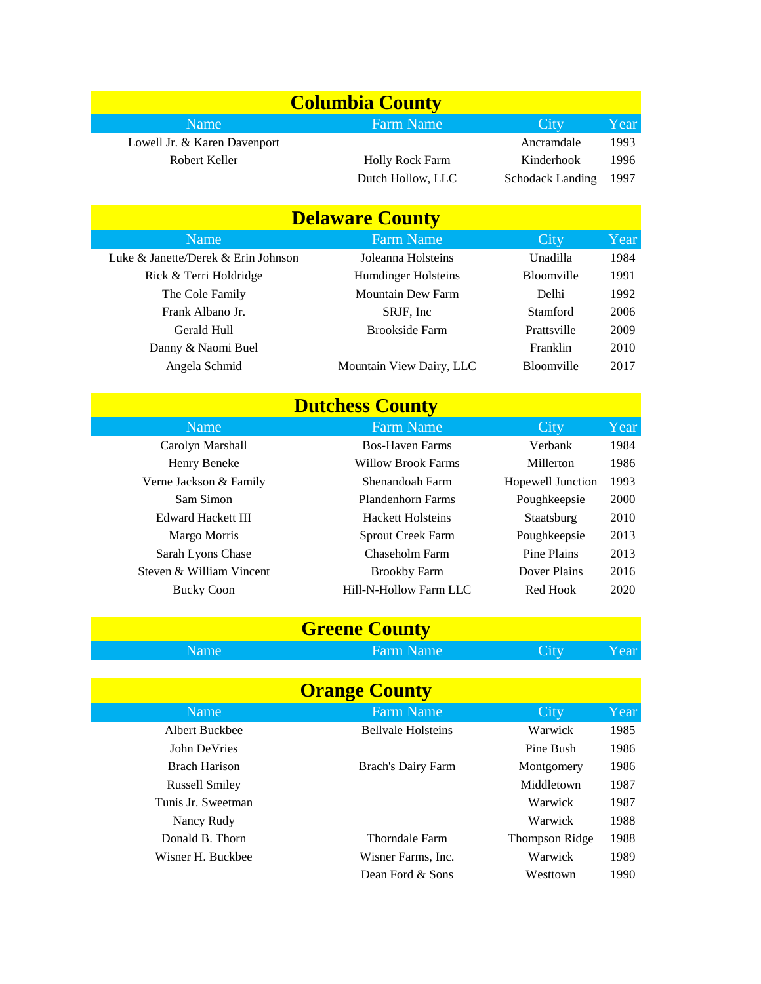| <b>Columbia County</b> |                              |                        |                         |       |
|------------------------|------------------------------|------------------------|-------------------------|-------|
|                        | <b>Name</b>                  | <b>Farm Name</b>       | City                    | Year  |
|                        | Lowell Jr. & Karen Davenport |                        | Ancramdale              | 1993  |
|                        | Robert Keller                | <b>Holly Rock Farm</b> | Kinderhook              | 1996  |
|                        |                              | Dutch Hollow, LLC      | <b>Schodack Landing</b> | -1997 |

## **Delaware County**

| <b>Farm Name</b>           | City              | Year |
|----------------------------|-------------------|------|
| Joleanna Holsteins         | Unadilla          | 1984 |
| <b>Humdinger Holsteins</b> | <b>Bloomville</b> | 1991 |
| <b>Mountain Dew Farm</b>   | Delhi             | 1992 |
| SRJF, Inc                  | Stamford          | 2006 |
| <b>Brookside Farm</b>      | Prattsville       | 2009 |
|                            | Franklin          | 2010 |
| Mountain View Dairy, LLC   | <b>Bloomville</b> | 2017 |
|                            |                   |      |

| <b>Dutchess County</b> |                          |                          |                   |      |  |
|------------------------|--------------------------|--------------------------|-------------------|------|--|
|                        | <b>Name</b>              | <b>Farm Name</b>         | City              | Year |  |
|                        | Carolyn Marshall         | <b>Bos-Haven Farms</b>   | Verbank           | 1984 |  |
|                        | Henry Beneke             | Willow Brook Farms       | Millerton         | 1986 |  |
|                        | Verne Jackson & Family   | Shenandoah Farm          | Hopewell Junction | 1993 |  |
|                        | Sam Simon                | <b>Plandenhorn Farms</b> | Poughkeepsie      | 2000 |  |
|                        | Edward Hackett III       | <b>Hackett Holsteins</b> | Staatsburg        | 2010 |  |
|                        | Margo Morris             | <b>Sprout Creek Farm</b> | Poughkeepsie      | 2013 |  |
|                        | Sarah Lyons Chase        | Chaseholm Farm           | Pine Plains       | 2013 |  |
|                        | Steven & William Vincent | <b>Brookby Farm</b>      | Dover Plains      | 2016 |  |
|                        | <b>Bucky Coon</b>        | Hill-N-Hollow Farm LLC   | Red Hook          | 2020 |  |
|                        |                          |                          |                   |      |  |

Name Farm Name City Year **Greene County**

| <b>Orange County</b>  |                           |                       |      |  |  |
|-----------------------|---------------------------|-----------------------|------|--|--|
| Name                  | <b>Farm Name</b>          | City                  | Year |  |  |
| Albert Buckbee        | <b>Bellyale Holsteins</b> | Warwick               | 1985 |  |  |
| John DeVries          |                           | Pine Bush             | 1986 |  |  |
| Brach Harison         | <b>Brach's Dairy Farm</b> | Montgomery            | 1986 |  |  |
| <b>Russell Smiley</b> |                           | Middletown            | 1987 |  |  |
| Tunis Jr. Sweetman    |                           | Warwick               | 1987 |  |  |
| Nancy Rudy            |                           | Warwick               | 1988 |  |  |
| Donald B. Thorn       | <b>Thorndale Farm</b>     | <b>Thompson Ridge</b> | 1988 |  |  |
| Wisner H. Buckbee     | Wisner Farms, Inc.        | Warwick               | 1989 |  |  |
|                       | Dean Ford & Sons          | Westtown              | 1990 |  |  |
|                       |                           |                       |      |  |  |